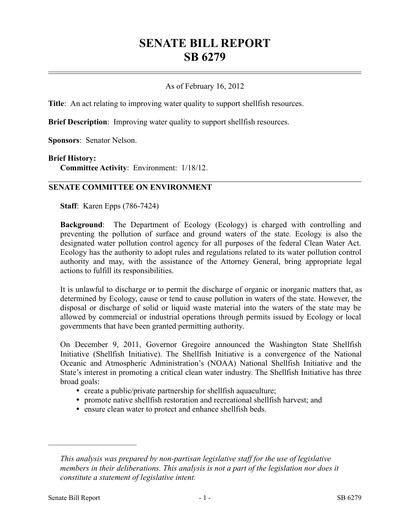# **SENATE BILL REPORT SB 6279**

### As of February 16, 2012

**Title**: An act relating to improving water quality to support shell fish resources.

**Brief Description**: Improving water quality to support shellfish resources.

**Sponsors**: Senator Nelson.

#### **Brief History:**

**Committee Activity**: Environment: 1/18/12.

#### **SENATE COMMITTEE ON ENVIRONMENT**

**Staff**: Karen Epps (786-7424)

**Background**: The Department of Ecology (Ecology) is charged with controlling and preventing the pollution of surface and ground waters of the state. Ecology is also the designated water pollution control agency for all purposes of the federal Clean Water Act. Ecology has the authority to adopt rules and regulations related to its water pollution control authority and may, with the assistance of the Attorney General, bring appropriate legal actions to fulfill its responsibilities.

It is unlawful to discharge or to permit the discharge of organic or inorganic matters that, as determined by Ecology, cause or tend to cause pollution in waters of the state. However, the disposal or discharge of solid or liquid waste material into the waters of the state may be allowed by commercial or industrial operations through permits issued by Ecology or local governments that have been granted permitting authority.

On December 9, 2011, Governor Gregoire announced the Washington State Shellfish Initiative (Shellfish Initiative). The Shellfish Initiative is a convergence of the National Oceanic and Atmospheric Administration's (NOAA) National Shellfish Initiative and the State's interest in promoting a critical clean water industry. The Shellfish Initiative has three broad goals:

- create a public/private partnership for shellfish aquaculture;
- promote native shellfish restoration and recreational shellfish harvest; and
- ensure clean water to protect and enhance shellfish beds.

––––––––––––––––––––––

*This analysis was prepared by non-partisan legislative staff for the use of legislative members in their deliberations. This analysis is not a part of the legislation nor does it constitute a statement of legislative intent.*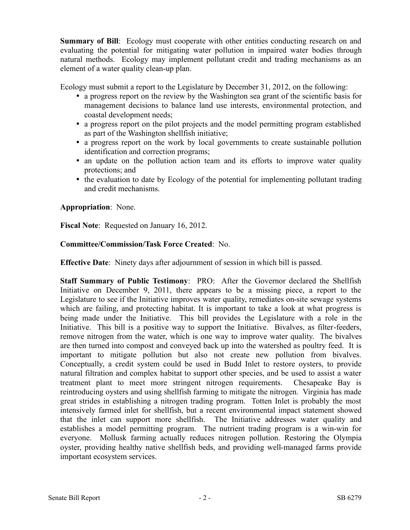**Summary of Bill**: Ecology must cooperate with other entities conducting research on and evaluating the potential for mitigating water pollution in impaired water bodies through natural methods. Ecology may implement pollutant credit and trading mechanisms as an element of a water quality clean-up plan.

Ecology must submit a report to the Legislature by December 31, 2012, on the following:

- a progress report on the review by the Washington sea grant of the scientific basis for management decisions to balance land use interests, environmental protection, and coastal development needs;
- a progress report on the pilot projects and the model permitting program established as part of the Washington shellfish initiative;
- a progress report on the work by local governments to create sustainable pollution identification and correction programs;
- an update on the pollution action team and its efforts to improve water quality protections; and
- the evaluation to date by Ecology of the potential for implementing pollutant trading and credit mechanisms.

## **Appropriation**: None.

**Fiscal Note**: Requested on January 16, 2012.

## **Committee/Commission/Task Force Created**: No.

**Effective Date**: Ninety days after adjournment of session in which bill is passed.

**Staff Summary of Public Testimony**: PRO: After the Governor declared the Shellfish Initiative on December 9, 2011, there appears to be a missing piece, a report to the Legislature to see if the Initiative improves water quality, remediates on-site sewage systems which are failing, and protecting habitat. It is important to take a look at what progress is being made under the Initiative. This bill provides the Legislature with a role in the Initiative. This bill is a positive way to support the Initiative. Bivalves, as filter-feeders, remove nitrogen from the water, which is one way to improve water quality. The bivalves are then turned into compost and conveyed back up into the watershed as poultry feed. It is important to mitigate pollution but also not create new pollution from bivalves. Conceptually, a credit system could be used in Budd Inlet to restore oysters, to provide natural filtration and complex habitat to support other species, and be used to assist a water treatment plant to meet more stringent nitrogen requirements. Chesapeake Bay is reintroducing oysters and using shellfish farming to mitigate the nitrogen. Virginia has made great strides in establishing a nitrogen trading program. Totten Inlet is probably the most intensively farmed inlet for shellfish, but a recent environmental impact statement showed that the inlet can support more shellfish. The Initiative addresses water quality and establishes a model permitting program. The nutrient trading program is a win-win for everyone. Mollusk farming actually reduces nitrogen pollution. Restoring the Olympia oyster, providing healthy native shellfish beds, and providing well-managed farms provide important ecosystem services.